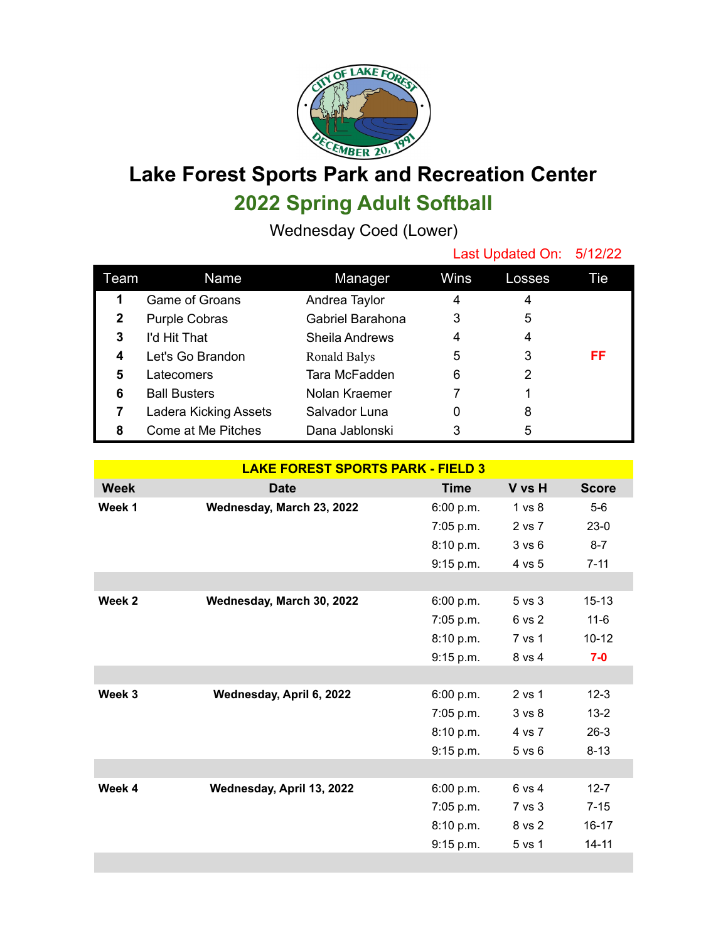

## **Lake Forest Sports Park and Recreation Center 2022 Spring Adult Softball**

Wednesday Coed (Lower)

|              |                       |                       | Last Updated On: 5/12/22 |        |     |
|--------------|-----------------------|-----------------------|--------------------------|--------|-----|
| Team         | Name                  | Manager               | Wins                     | Losses | Tie |
| 1            | Game of Groans        | Andrea Taylor         | 4                        | 4      |     |
| $\mathbf{2}$ | <b>Purple Cobras</b>  | Gabriel Barahona      | 3                        | 5      |     |
| 3            | I'd Hit That          | <b>Sheila Andrews</b> | 4                        | 4      |     |
| 4            | Let's Go Brandon      | Ronald Balys          | 5                        | 3      | FF  |
| 5            | Latecomers            | Tara McFadden         | 6                        | 2      |     |
| 6            | <b>Ball Busters</b>   | Nolan Kraemer         | 7                        |        |     |
|              | Ladera Kicking Assets | Salvador Luna         | 0                        | 8      |     |
| 8            | Come at Me Pitches    | Dana Jablonski        | 3                        | 5      |     |

| <b>LAKE FOREST SPORTS PARK - FIELD 3</b> |                           |             |                   |              |  |  |  |
|------------------------------------------|---------------------------|-------------|-------------------|--------------|--|--|--|
| <b>Week</b>                              | <b>Date</b>               | <b>Time</b> | V vs H            | <b>Score</b> |  |  |  |
| Week 1                                   | Wednesday, March 23, 2022 | 6:00 p.m.   | 1 vs 8            | $5-6$        |  |  |  |
|                                          |                           | 7:05 p.m.   | 2 vs 7            | $23-0$       |  |  |  |
|                                          |                           | 8:10 p.m.   | 3 v s 6           | $8 - 7$      |  |  |  |
|                                          |                           | 9:15 p.m.   | 4 vs 5            | $7 - 11$     |  |  |  |
|                                          |                           |             |                   |              |  |  |  |
| Week 2                                   | Wednesday, March 30, 2022 | 6:00 p.m.   | 5 vs 3            | $15 - 13$    |  |  |  |
|                                          |                           | 7:05 p.m.   | 6 vs 2            | $11 - 6$     |  |  |  |
|                                          |                           | 8:10 p.m.   | 7 vs 1            | $10 - 12$    |  |  |  |
|                                          |                           | 9:15 p.m.   | 8 vs 4            | $7-0$        |  |  |  |
|                                          |                           |             |                   |              |  |  |  |
| Week 3                                   | Wednesday, April 6, 2022  | 6:00 p.m.   | 2 vs 1            | $12 - 3$     |  |  |  |
|                                          |                           | $7:05$ p.m. | 3 <sub>vs</sub> 8 | $13 - 2$     |  |  |  |
|                                          |                           | 8:10 p.m.   | 4 vs 7            | $26-3$       |  |  |  |
|                                          |                           | 9:15 p.m.   | $5$ vs $6$        | $8 - 13$     |  |  |  |
|                                          |                           |             |                   |              |  |  |  |
| Week 4                                   | Wednesday, April 13, 2022 | 6:00 p.m.   | 6 vs 4            | $12 - 7$     |  |  |  |
|                                          |                           | 7:05 p.m.   | 7 vs 3            | $7 - 15$     |  |  |  |
|                                          |                           | 8:10 p.m.   | 8 vs 2            | $16 - 17$    |  |  |  |
|                                          |                           | 9:15 p.m.   | 5 vs 1            | $14 - 11$    |  |  |  |
|                                          |                           |             |                   |              |  |  |  |